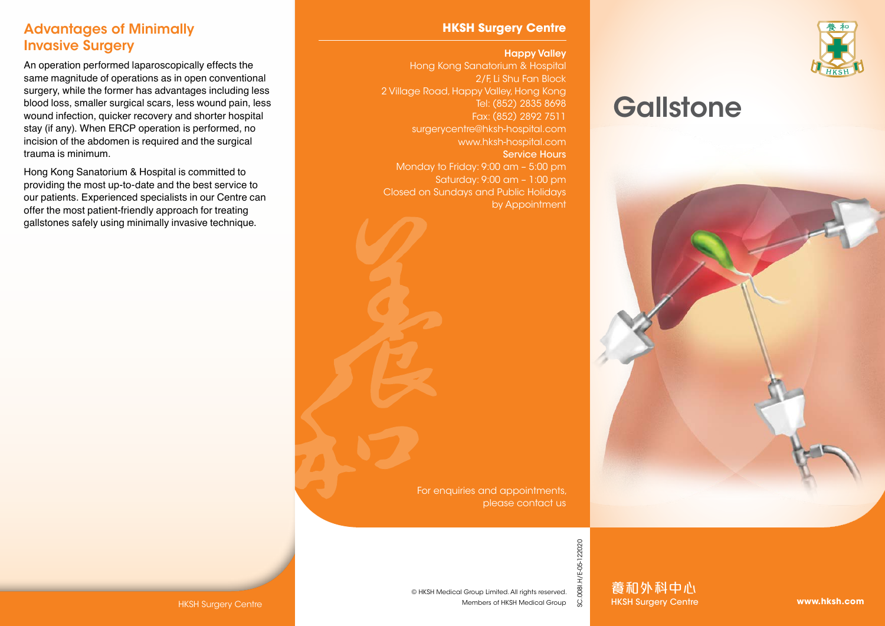### Advantages of Minimally Invasive Surgery

An operation performed laparoscopically effects the same magnitude of operations as in open conventional surgery, while the former has advantages including less blood loss, smaller surgical scars, less wound pain, less wound infection, quicker recovery and shorter hospital stay (if any). When ERCP operation is performed, no incision of the abdomen is required and the surgical trauma is minimum.

Hong Kong Sanatorium & Hospital is committed to providing the most up-to-date and the best service to our patients. Experienced specialists in our Centre can offer the most patient-friendly approach for treating gallstones safely using minimally invasive technique.

### **HKSH Surgery Centre**

#### Happy Valley

Hong Kong Sanatorium & Hospital 2/F, Li Shu Fan Block 2 Village Road, Happy Valley, Hong Kong Tel: (852) 2835 8698 Fax: (852) 2892 7511 surgerycentre@hksh-hospital.com www.hksh-hospital.com Service Hours Monday to Friday: 9:00 am – 5:00 pm Saturday: 9:00 am – 1:00 pm Closed on Sundays and Public Holidays by Appointment

> For enquiries and appointments, please contact us

© HKSH Medical Group Limited. All rights reserved.

Members of HKSH Medical Group



# **Gallstone**



0081.H/E-05-122020 SC.008I.H/E-05-122020

HKSH Surgery Centre **www.hksh.com** Members of HKSH Medical Group  $\breve{\vee}$  HKSH Surgery Centre **www.hksh.com** 養和外科中心 HKSH Surgery Centre